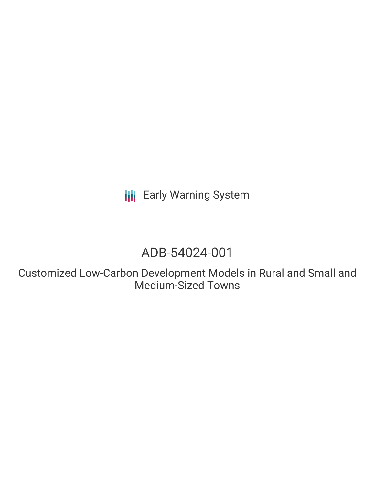**III** Early Warning System

# ADB-54024-001

Customized Low-Carbon Development Models in Rural and Small and Medium-Sized Towns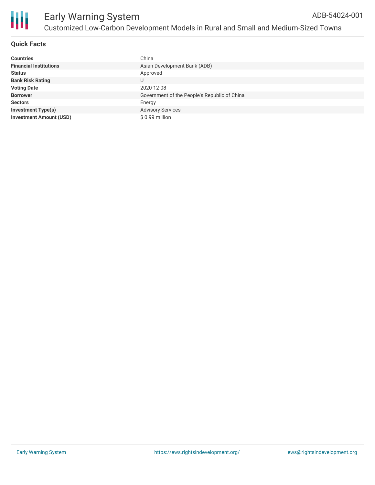

## **Quick Facts**

| <b>Countries</b>               | China                                        |
|--------------------------------|----------------------------------------------|
| <b>Financial Institutions</b>  | Asian Development Bank (ADB)                 |
| <b>Status</b>                  | Approved                                     |
| <b>Bank Risk Rating</b>        | U                                            |
| <b>Voting Date</b>             | 2020-12-08                                   |
| <b>Borrower</b>                | Government of the People's Republic of China |
| <b>Sectors</b>                 | Energy                                       |
| <b>Investment Type(s)</b>      | <b>Advisory Services</b>                     |
| <b>Investment Amount (USD)</b> | \$ 0.99 million                              |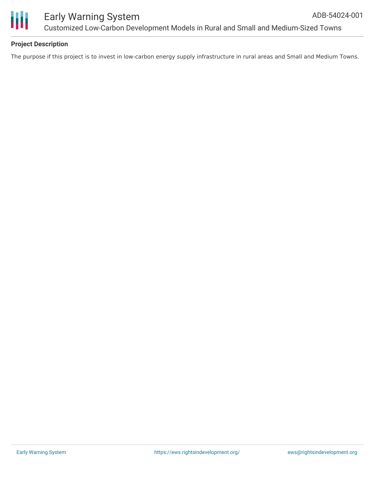

# **Project Description**

The purpose if this project is to invest in low-carbon energy supply infrastructure in rural areas and Small and Medium Towns.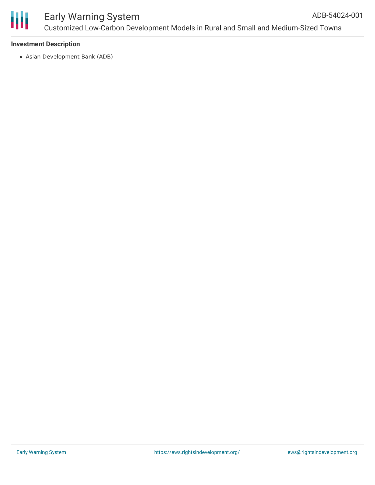

#### **Investment Description**

Asian Development Bank (ADB)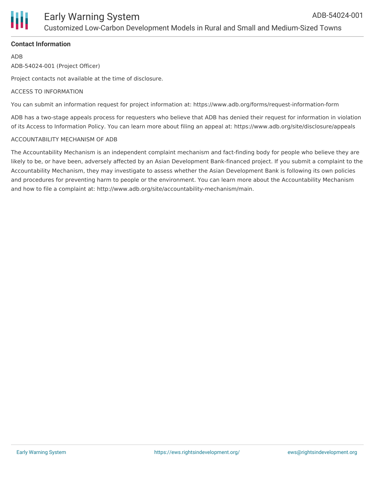

## **Contact Information**

ADB

ADB-54024-001 (Project Officer)

Project contacts not available at the time of disclosure.

#### ACCESS TO INFORMATION

You can submit an information request for project information at: https://www.adb.org/forms/request-information-form

ADB has a two-stage appeals process for requesters who believe that ADB has denied their request for information in violation of its Access to Information Policy. You can learn more about filing an appeal at: https://www.adb.org/site/disclosure/appeals

#### ACCOUNTABILITY MECHANISM OF ADB

The Accountability Mechanism is an independent complaint mechanism and fact-finding body for people who believe they are likely to be, or have been, adversely affected by an Asian Development Bank-financed project. If you submit a complaint to the Accountability Mechanism, they may investigate to assess whether the Asian Development Bank is following its own policies and procedures for preventing harm to people or the environment. You can learn more about the Accountability Mechanism and how to file a complaint at: http://www.adb.org/site/accountability-mechanism/main.